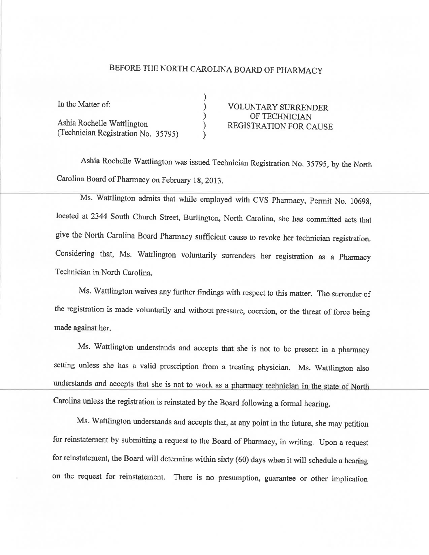## BEFORE THE NORTH CAROLINA BOARD OF PHARMACY

| In the Matter of:                   | <b>VOLUNTARY SURRENDER</b>    |
|-------------------------------------|-------------------------------|
| Ashia Rochelle Wattlington          | OF TECHNICIAN                 |
|                                     | <b>REGISTRATION FOR CAUSE</b> |
| (Technician Registration No. 35795) |                               |

Ashia Rochelle Wattlington was issued Technician Registration No. 35795, by the North Carolina Board of Pharmacy on February 18, 2013.

Ms. Wattlington admits that while employed with CVS Pharmacy, Permit No. 10698, located at 2344 South Church Street, Burlington, North Carolina, she has committed acts that give the North Carolina Board Pharmacy sufficient cause to revoke her technician registration. Considering that, Ms. Wattlington voluntarily surrenders her registration as a Pharmacy Technician in North Carolina.

Ms. Wattlington waives any further findings with respect to this matter. The surrender of the registration is made voluntarily and without pressure, coercion, or the threat of force being made against her.

Ms. Wattlington understands and accepts that she is not to be present in a pharmacy setting unless she has a valid prescription from a treating physician. Ms. Wattlington also understands and accepts that she is not to work as a pharmacy technician in the state of North Carolina unless the registration is reinstated by the Board following a formal hearing.

Ms. Wattlington understands and accepts that, at any point in the future, she may petition for reinstatement by submitting a request to the Board of Pharmacy, in writing. Upon a request for reinstatement, the Board will determine within sixty (60) days when it will schedule a hearing on the request for reinstatement. There is no presumption, guarantee or other implication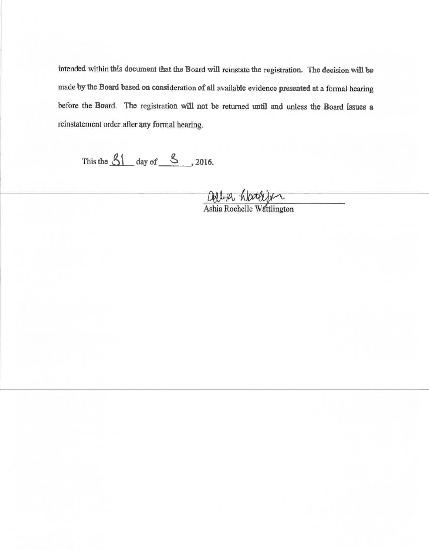intended within this document that the Board will reinstate the registration. The decision will be made by the Board based on consideration of all available evidence presented at a formal hearing before the Board. The registration will not be returned until and unless the Board issues a reinstatement order after any formal hearing.

This the  $\frac{81}{100}$  day of  $\frac{8}{100}$ , 2016.

ashia Natlijk